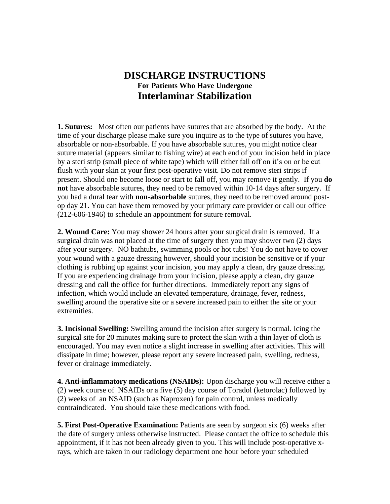## **DISCHARGE INSTRUCTIONS For Patients Who Have Undergone Interlaminar Stabilization**

**1. Sutures:** Most often our patients have sutures that are absorbed by the body. At the time of your discharge please make sure you inquire as to the type of sutures you have, absorbable or non-absorbable. If you have absorbable sutures, you might notice clear suture material (appears similar to fishing wire) at each end of your incision held in place by a steri strip (small piece of white tape) which will either fall off on it's on or be cut flush with your skin at your first post-operative visit. Do not remove steri strips if present. Should one become loose or start to fall off, you may remove it gently.If you **do not** have absorbable sutures, they need to be removed within 10-14 days after surgery. If you had a dural tear with **non-absorbable** sutures, they need to be removed around postop day 21. You can have them removed by your primary care provider or call our office (212-606-1946) to schedule an appointment for suture removal.

**2. Wound Care:** You may shower 24 hours after your surgical drain is removed. If a surgical drain was not placed at the time of surgery then you may shower two (2) days after your surgery. NO bathtubs, swimming pools or hot tubs! You do not have to cover your wound with a gauze dressing however, should your incision be sensitive or if your clothing is rubbing up against your incision, you may apply a clean, dry gauze dressing. If you are experiencing drainage from your incision, please apply a clean, dry gauze dressing and call the office for further directions. Immediately report any signs of infection, which would include an elevated temperature, drainage, fever, redness, swelling around the operative site or a severe increased pain to either the site or your extremities.

**3. Incisional Swelling:** Swelling around the incision after surgery is normal. Icing the surgical site for 20 minutes making sure to protect the skin with a thin layer of cloth is encouraged. You may even notice a slight increase in swelling after activities. This will dissipate in time; however, please report any severe increased pain, swelling, redness, fever or drainage immediately.

**4. Anti-inflammatory medications (NSAIDs):** Upon discharge you will receive either a (2) week course of NSAIDs or a five (5) day course of Toradol (ketorolac) followed by (2) weeks of an NSAID (such as Naproxen) for pain control, unless medically contraindicated. You should take these medications with food.

**5. First Post-Operative Examination:** Patients are seen by surgeon six (6) weeks after the date of surgery unless otherwise instructed. Please contact the office to schedule this appointment, if it has not been already given to you. This will include post-operative xrays, which are taken in our radiology department one hour before your scheduled